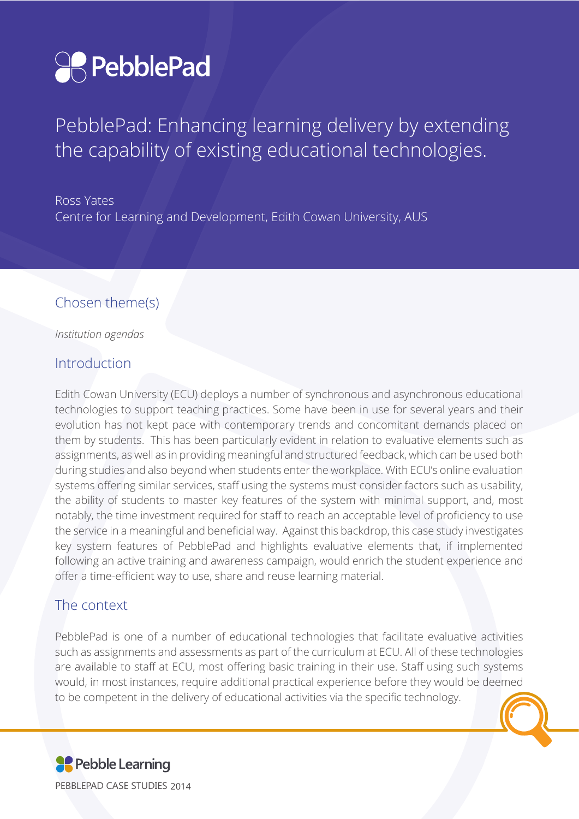

PebblePad: Enhancing learning delivery by extending the capability of existing educational technologies.

Ross Yates Centre for Learning and Development, Edith Cowan University, AUS

### Chosen theme(s)

*Institution agendas*

#### Introduction

Edith Cowan University (ECU) deploys a number of synchronous and asynchronous educational technologies to support teaching practices. Some have been in use for several years and their evolution has not kept pace with contemporary trends and concomitant demands placed on them by students. This has been particularly evident in relation to evaluative elements such as assignments, as well as in providing meaningful and structured feedback, which can be used both during studies and also beyond when students enter the workplace. With ECU's online evaluation systems offering similar services, staff using the systems must consider factors such as usability, the ability of students to master key features of the system with minimal support, and, most notably, the time investment required for staff to reach an acceptable level of proficiency to use the service in a meaningful and beneficial way. Against this backdrop, this case study investigates key system features of PebblePad and highlights evaluative elements that, if implemented following an active training and awareness campaign, would enrich the student experience and offer a time-efficient way to use, share and reuse learning material.

### The context

PebblePad is one of a number of educational technologies that facilitate evaluative activities such as assignments and assessments as part of the curriculum at ECU. All of these technologies are available to staff at ECU, most offering basic training in their use. Staff using such systems would, in most instances, require additional practical experience before they would be deemed to be competent in the delivery of educational activities via the specific technology.

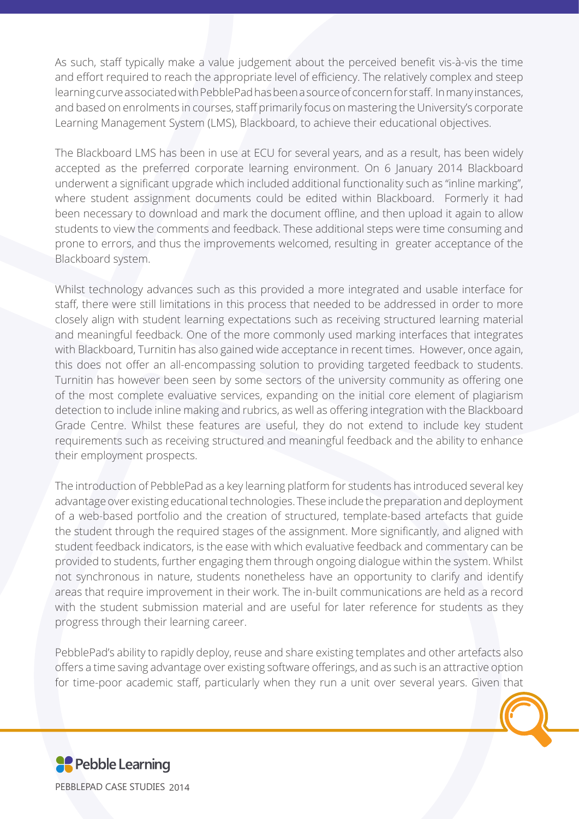As such, staff typically make a value judgement about the perceived benefit vis-à-vis the time and effort required to reach the appropriate level of efficiency. The relatively complex and steep learning curve associated with PebblePad has been a source of concern for staff. In many instances, and based on enrolments in courses, staff primarily focus on mastering the University's corporate Learning Management System (LMS), Blackboard, to achieve their educational objectives.

The Blackboard LMS has been in use at ECU for several years, and as a result, has been widely accepted as the preferred corporate learning environment. On 6 January 2014 Blackboard underwent a significant upgrade which included additional functionality such as "inline marking", where student assignment documents could be edited within Blackboard. Formerly it had been necessary to download and mark the document offline, and then upload it again to allow students to view the comments and feedback. These additional steps were time consuming and prone to errors, and thus the improvements welcomed, resulting in greater acceptance of the Blackboard system.

Whilst technology advances such as this provided a more integrated and usable interface for staff, there were still limitations in this process that needed to be addressed in order to more closely align with student learning expectations such as receiving structured learning material and meaningful feedback. One of the more commonly used marking interfaces that integrates with Blackboard, Turnitin has also gained wide acceptance in recent times. However, once again, this does not offer an all-encompassing solution to providing targeted feedback to students. Turnitin has however been seen by some sectors of the university community as offering one of the most complete evaluative services, expanding on the initial core element of plagiarism detection to include inline making and rubrics, as well as offering integration with the Blackboard Grade Centre. Whilst these features are useful, they do not extend to include key student requirements such as receiving structured and meaningful feedback and the ability to enhance their employment prospects.

The introduction of PebblePad as a key learning platform for students has introduced several key advantage over existing educational technologies. These include the preparation and deployment of a web-based portfolio and the creation of structured, template-based artefacts that guide the student through the required stages of the assignment. More significantly, and aligned with student feedback indicators, is the ease with which evaluative feedback and commentary can be provided to students, further engaging them through ongoing dialogue within the system. Whilst not synchronous in nature, students nonetheless have an opportunity to clarify and identify areas that require improvement in their work. The in-built communications are held as a record with the student submission material and are useful for later reference for students as they progress through their learning career.

PebblePad's ability to rapidly deploy, reuse and share existing templates and other artefacts also offers a time saving advantage over existing software offerings, and as such is an attractive option for time-poor academic staff, particularly when they run a unit over several years. Given that



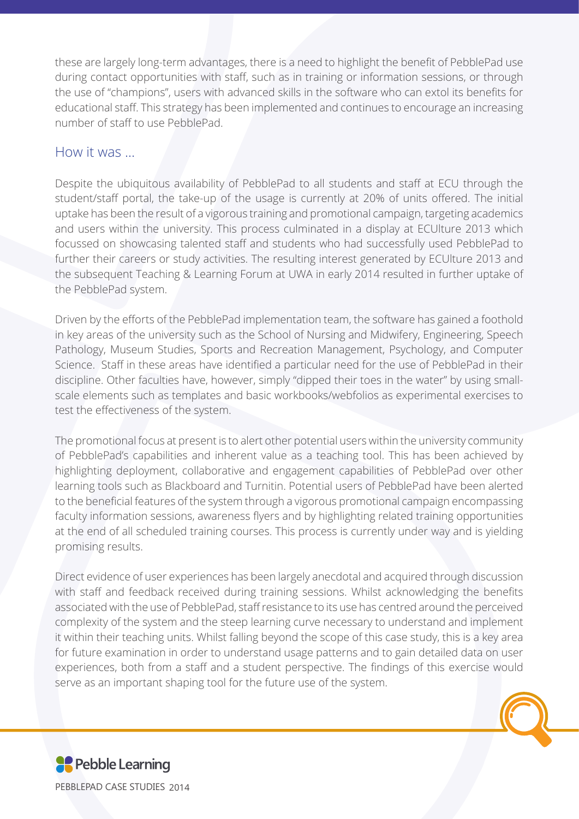these are largely long-term advantages, there is a need to highlight the benefit of PebblePad use during contact opportunities with staff, such as in training or information sessions, or through the use of "champions", users with advanced skills in the software who can extol its benefits for educational staff. This strategy has been implemented and continues to encourage an increasing number of staff to use PebblePad.

### How it was …

Despite the ubiquitous availability of PebblePad to all students and staff at ECU through the student/staff portal, the take-up of the usage is currently at 20% of units offered. The initial uptake has been the result of a vigorous training and promotional campaign, targeting academics and users within the university. This process culminated in a display at ECUlture 2013 which focussed on showcasing talented staff and students who had successfully used PebblePad to further their careers or study activities. The resulting interest generated by ECUlture 2013 and the subsequent Teaching & Learning Forum at UWA in early 2014 resulted in further uptake of the PebblePad system.

Driven by the efforts of the PebblePad implementation team, the software has gained a foothold in key areas of the university such as the School of Nursing and Midwifery, Engineering, Speech Pathology, Museum Studies, Sports and Recreation Management, Psychology, and Computer Science. Staff in these areas have identified a particular need for the use of PebblePad in their discipline. Other faculties have, however, simply "dipped their toes in the water" by using smallscale elements such as templates and basic workbooks/webfolios as experimental exercises to test the effectiveness of the system.

The promotional focus at present is to alert other potential users within the university community of PebblePad's capabilities and inherent value as a teaching tool. This has been achieved by highlighting deployment, collaborative and engagement capabilities of PebblePad over other learning tools such as Blackboard and Turnitin. Potential users of PebblePad have been alerted to the beneficial features of the system through a vigorous promotional campaign encompassing faculty information sessions, awareness flyers and by highlighting related training opportunities at the end of all scheduled training courses. This process is currently under way and is yielding promising results.

Direct evidence of user experiences has been largely anecdotal and acquired through discussion with staff and feedback received during training sessions. Whilst acknowledging the benefits associated with the use of PebblePad, staff resistance to its use has centred around the perceived complexity of the system and the steep learning curve necessary to understand and implement it within their teaching units. Whilst falling beyond the scope of this case study, this is a key area for future examination in order to understand usage patterns and to gain detailed data on user experiences, both from a staff and a student perspective. The findings of this exercise would serve as an important shaping tool for the future use of the system.

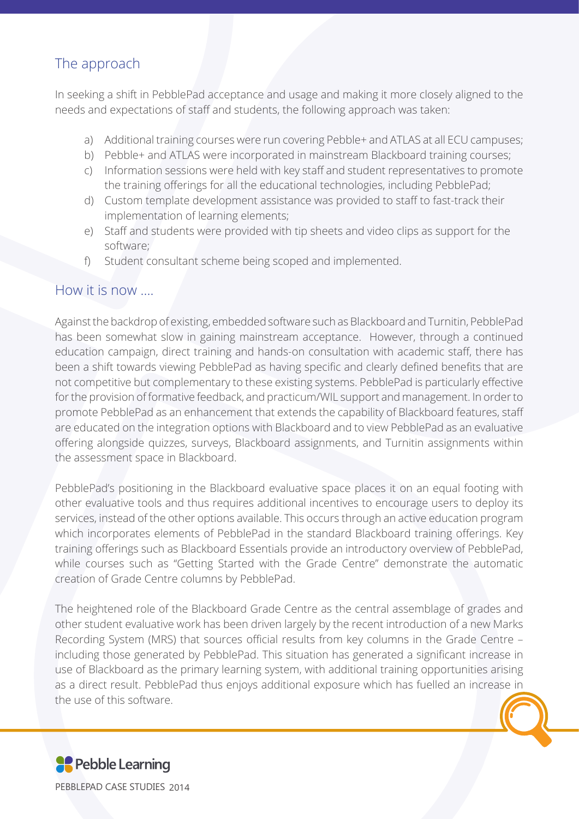## The approach

In seeking a shift in PebblePad acceptance and usage and making it more closely aligned to the needs and expectations of staff and students, the following approach was taken:

- a) Additional training courses were run covering Pebble+ and ATLAS at all ECU campuses;
- b) Pebble+ and ATLAS were incorporated in mainstream Blackboard training courses;
- c) Information sessions were held with key staff and student representatives to promote the training offerings for all the educational technologies, including PebblePad;
- d) Custom template development assistance was provided to staff to fast-track their implementation of learning elements;
- e) Staff and students were provided with tip sheets and video clips as support for the software;
- f) Student consultant scheme being scoped and implemented.

#### How it is now ….

Against the backdrop of existing, embedded software such as Blackboard and Turnitin, PebblePad has been somewhat slow in gaining mainstream acceptance. However, through a continued education campaign, direct training and hands-on consultation with academic staff, there has been a shift towards viewing PebblePad as having specific and clearly defined benefits that are not competitive but complementary to these existing systems. PebblePad is particularly effective for the provision of formative feedback, and practicum/WIL support and management. In order to promote PebblePad as an enhancement that extends the capability of Blackboard features, staff are educated on the integration options with Blackboard and to view PebblePad as an evaluative offering alongside quizzes, surveys, Blackboard assignments, and Turnitin assignments within the assessment space in Blackboard.

PebblePad's positioning in the Blackboard evaluative space places it on an equal footing with other evaluative tools and thus requires additional incentives to encourage users to deploy its services, instead of the other options available. This occurs through an active education program which incorporates elements of PebblePad in the standard Blackboard training offerings. Key training offerings such as Blackboard Essentials provide an introductory overview of PebblePad, while courses such as "Getting Started with the Grade Centre" demonstrate the automatic creation of Grade Centre columns by PebblePad.

The heightened role of the Blackboard Grade Centre as the central assemblage of grades and

other student evaluative work has been driven largely by the recent introduction of a new Marks Recording System (MRS) that sources official results from key columns in the Grade Centre – including those generated by PebblePad. This situation has generated a significant increase in use of Blackboard as the primary learning system, with additional training opportunities arising as a direct result. PebblePad thus enjoys additional exposure which has fuelled an increase in the use of this software.

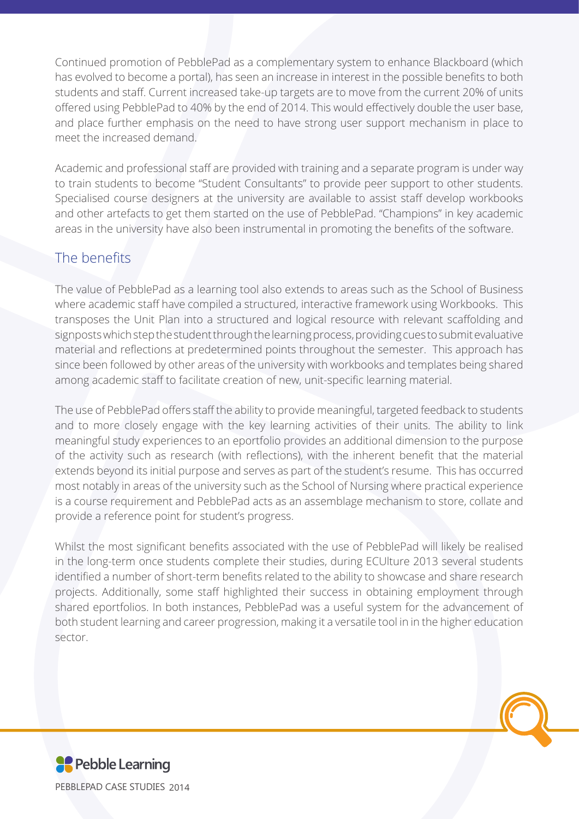Continued promotion of PebblePad as a complementary system to enhance Blackboard (which has evolved to become a portal), has seen an increase in interest in the possible benefits to both students and staff. Current increased take-up targets are to move from the current 20% of units offered using PebblePad to 40% by the end of 2014. This would effectively double the user base, and place further emphasis on the need to have strong user support mechanism in place to meet the increased demand.

Academic and professional staff are provided with training and a separate program is under way to train students to become "Student Consultants" to provide peer support to other students. Specialised course designers at the university are available to assist staff develop workbooks and other artefacts to get them started on the use of PebblePad. "Champions" in key academic areas in the university have also been instrumental in promoting the benefits of the software.

## The benefits

The value of PebblePad as a learning tool also extends to areas such as the School of Business where academic staff have compiled a structured, interactive framework using Workbooks. This transposes the Unit Plan into a structured and logical resource with relevant scaffolding and signposts which step the student through the learning process, providing cues to submit evaluative material and reflections at predetermined points throughout the semester. This approach has since been followed by other areas of the university with workbooks and templates being shared among academic staff to facilitate creation of new, unit-specific learning material.

The use of PebblePad offers staff the ability to provide meaningful, targeted feedback to students and to more closely engage with the key learning activities of their units. The ability to link meaningful study experiences to an eportfolio provides an additional dimension to the purpose of the activity such as research (with reflections), with the inherent benefit that the material extends beyond its initial purpose and serves as part of the student's resume. This has occurred most notably in areas of the university such as the School of Nursing where practical experience is a course requirement and PebblePad acts as an assemblage mechanism to store, collate and provide a reference point for student's progress.

Whilst the most significant benefits associated with the use of PebblePad will likely be realised in the long-term once students complete their studies, during ECUlture 2013 several students identified a number of short-term benefits related to the ability to showcase and share research projects. Additionally, some staff highlighted their success in obtaining employment through shared eportfolios. In both instances, PebblePad was a useful system for the advancement of both student learning and career progression, making it a versatile tool in in the higher education sector.